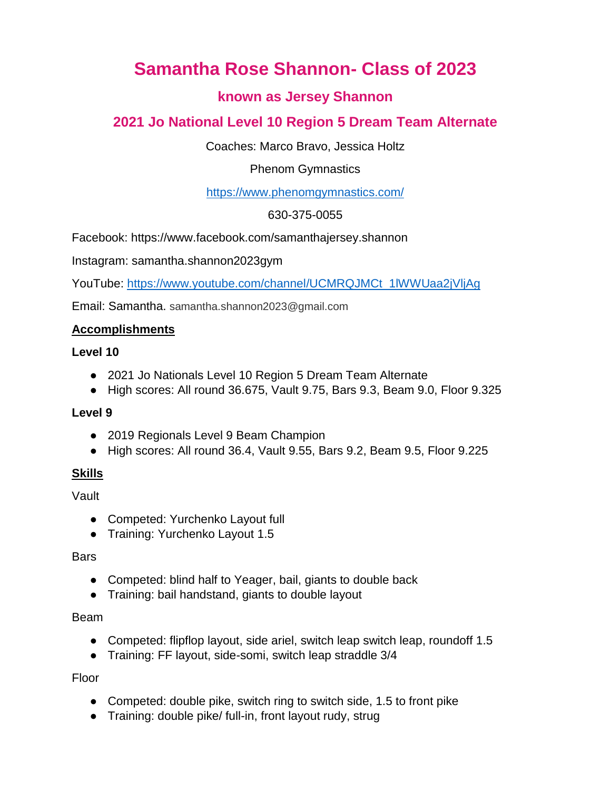# **Samantha Rose Shannon- Class of 2023**

# **known as Jersey Shannon**

# **2021 Jo National Level 10 Region 5 Dream Team Alternate**

Coaches: Marco Bravo, Jessica Holtz

Phenom Gymnastics

<https://www.phenomgymnastics.com/>

630-375-0055

Facebook: https://www.facebook.com/samanthajersey.shannon

Instagram: samantha.shannon2023gym

YouTube: [https://www.youtube.com/channel/UCMRQJMCt\\_1lWWUaa2jVljAg](https://www.youtube.com/channel/UCMRQJMCt_1lWWUaa2jVljAg)

Email: Samantha. samantha.shannon2023@gmail.com

# **Accomplishments**

#### **Level 10**

- 2021 Jo Nationals Level 10 Region 5 Dream Team Alternate
- High scores: All round 36.675, Vault 9.75, Bars 9.3, Beam 9.0, Floor 9.325

# **Level 9**

- 2019 Regionals Level 9 Beam Champion
- High scores: All round 36.4, Vault 9.55, Bars 9.2, Beam 9.5, Floor 9.225

# **Skills**

Vault

- Competed: Yurchenko Layout full
- Training: Yurchenko Layout 1.5

**Bars** 

- Competed: blind half to Yeager, bail, giants to double back
- Training: bail handstand, giants to double layout

# Beam

- Competed: flipflop layout, side ariel, switch leap switch leap, roundoff 1.5
- Training: FF layout, side-somi, switch leap straddle 3/4

Floor

- Competed: double pike, switch ring to switch side, 1.5 to front pike
- Training: double pike/ full-in, front layout rudy, strug